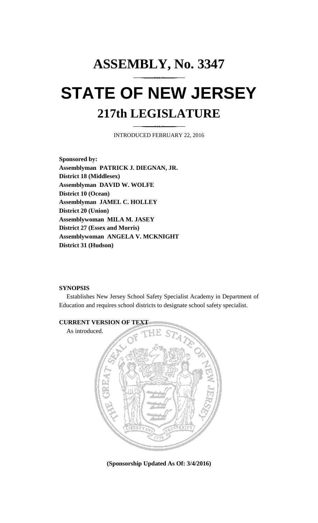## **ASSEMBLY, No. 3347 STATE OF NEW JERSEY 217th LEGISLATURE**

INTRODUCED FEBRUARY 22, 2016

**Sponsored by: Assemblyman PATRICK J. DIEGNAN, JR. District 18 (Middlesex) Assemblyman DAVID W. WOLFE District 10 (Ocean) Assemblyman JAMEL C. HOLLEY District 20 (Union) Assemblywoman MILA M. JASEY District 27 (Essex and Morris) Assemblywoman ANGELA V. MCKNIGHT District 31 (Hudson)**

## **SYNOPSIS**

Establishes New Jersey School Safety Specialist Academy in Department of Education and requires school districts to designate school safety specialist.



**(Sponsorship Updated As Of: 3/4/2016)**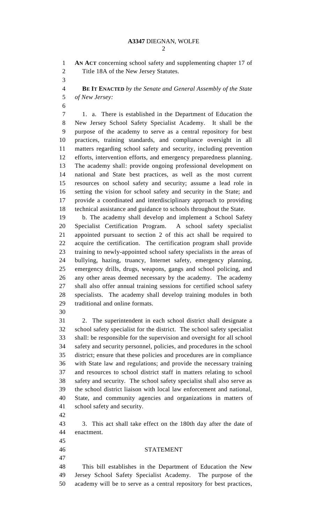**AN ACT** concerning school safety and supplementing chapter 17 of Title 18A of the New Jersey Statutes.

 **BE IT ENACTED** *by the Senate and General Assembly of the State of New Jersey:*

 1. a. There is established in the Department of Education the New Jersey School Safety Specialist Academy. It shall be the purpose of the academy to serve as a central repository for best practices, training standards, and compliance oversight in all matters regarding school safety and security, including prevention efforts, intervention efforts, and emergency preparedness planning. The academy shall: provide ongoing professional development on national and State best practices, as well as the most current resources on school safety and security; assume a lead role in setting the vision for school safety and security in the State; and provide a coordinated and interdisciplinary approach to providing technical assistance and guidance to schools throughout the State.

 b. The academy shall develop and implement a School Safety Specialist Certification Program. A school safety specialist appointed pursuant to section 2 of this act shall be required to acquire the certification. The certification program shall provide training to newly-appointed school safety specialists in the areas of bullying, hazing, truancy, Internet safety, emergency planning, emergency drills, drugs, weapons, gangs and school policing, and any other areas deemed necessary by the academy. The academy shall also offer annual training sessions for certified school safety specialists. The academy shall develop training modules in both traditional and online formats.

 2. The superintendent in each school district shall designate a school safety specialist for the district. The school safety specialist shall: be responsible for the supervision and oversight for all school safety and security personnel, policies, and procedures in the school district; ensure that these policies and procedures are in compliance with State law and regulations; and provide the necessary training and resources to school district staff in matters relating to school safety and security. The school safety specialist shall also serve as the school district liaison with local law enforcement and national, State, and community agencies and organizations in matters of school safety and security.

 3. This act shall take effect on the 180th day after the date of enactment.

STATEMENT

 This bill establishes in the Department of Education the New Jersey School Safety Specialist Academy. The purpose of the academy will be to serve as a central repository for best practices,